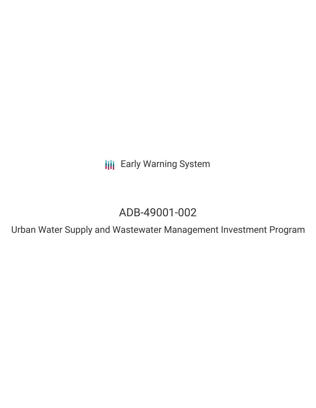**III** Early Warning System

# ADB-49001-002

Urban Water Supply and Wastewater Management Investment Program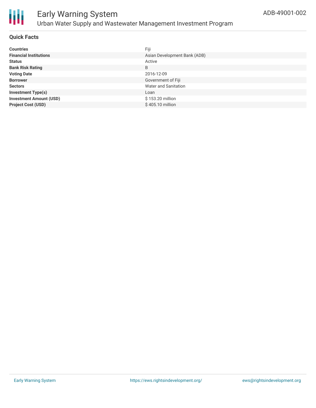

# Early Warning System Urban Water Supply and Wastewater Management Investment Program

### **Quick Facts**

| <b>Countries</b>               | Fiji                         |
|--------------------------------|------------------------------|
| <b>Financial Institutions</b>  | Asian Development Bank (ADB) |
| <b>Status</b>                  | Active                       |
| <b>Bank Risk Rating</b>        | B                            |
| <b>Voting Date</b>             | 2016-12-09                   |
| <b>Borrower</b>                | Government of Fiji           |
| <b>Sectors</b>                 | Water and Sanitation         |
| <b>Investment Type(s)</b>      | Loan                         |
| <b>Investment Amount (USD)</b> | \$153.20 million             |
| <b>Project Cost (USD)</b>      | \$405.10 million             |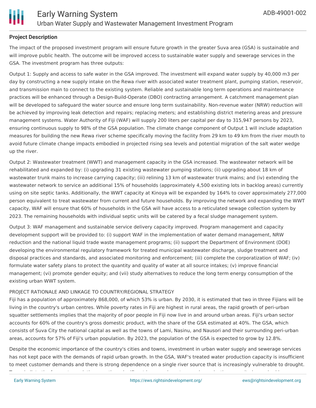

## **Project Description**

The impact of the proposed investment program will ensure future growth in the greater Suva area (GSA) is sustainable and will improve public health. The outcome will be improved access to sustainable water supply and sewerage services in the GSA. The investment program has three outputs:

Output 1: Supply and access to safe water in the GSA improved. The investment will expand water supply by 40,000 m3 per day by constructing a new supply intake on the Rewa river with associated water treatment plant, pumping station, reservoir, and transmission main to connect to the existing system. Reliable and sustainable long term operations and maintenance practices will be enhanced through a Design-Build-Operate (DBO) contracting arrangement. A catchment management plan will be developed to safeguard the water source and ensure long term sustainability. Non-revenue water (NRW) reduction will be achieved by improving leak detection and repairs; replacing meters; and establishing district metering areas and pressure management systems. Water Authority of Fiji (WAF) will supply 200 liters per capital per day to 315,947 persons by 2023, ensuring continuous supply to 98% of the GSA population. The climate change component of Output 1 will include adaptation measures for building the new Rewa river scheme specifically moving the facility from 29 km to 49 km from the river mouth to avoid future climate change impacts embodied in projected rising sea levels and potential migration of the salt water wedge up the river.

Output 2: Wastewater treatment (WWT) and management capacity in the GSA increased. The wastewater network will be rehabilitated and expanded by: (i) upgrading 31 existing wastewater pumping stations; (ii) upgrading about 18 km of wastewater trunk mains to increase carrying capacity; (iii) relining 13 km of wastewater trunk mains; and (iv) extending the wastewater network to service an additional 15% of households (approximately 4,500 existing lots in backlog areas) currently using on site septic tanks. Additionally, the WWT capacity at Kinoya will be expanded by 164% to cover approximately 277,000 person equivalent to treat wastewater from current and future households. By improving the network and expanding the WWT capacity, WAF will ensure that 60% of households in the GSA will have access to a reticulated sewage collection system by 2023. The remaining households with individual septic units will be catered by a fecal sludge management system.

Output 3: WAF management and sustainable service delivery capacity improved. Program management and capacity development support will be provided to: (i) support WAF in the implementation of water demand management, NRW reduction and the national liquid trade waste management programs; (ii) support the Department of Environment (DOE) developing the environmental regulatory framework for treated municipal wastewater discharge, sludge treatment and disposal practices and standards, and associated monitoring and enforcement; (iii) complete the corporatization of WAF; (iv) formulate water safety plans to protect the quantity and quality of water at all source intakes; (v) improve financial management; (vi) promote gender equity; and (vii) study alternatives to reduce the long term energy consumption of the existing urban WWT system.

#### PROJECT RATIONALE AND LINKAGE TO COUNTRY/REGIONAL STRATEGY

Fiji has a population of approximately 868,000, of which 53% is urban. By 2030, it is estimated that two in three Fijians will be living in the country's urban centres. While poverty rates in Fiji are highest in rural areas, the rapid growth of peri-urban squatter settlements implies that the majority of poor people in Fiji now live in and around urban areas. Fiji's urban sector accounts for 60% of the country's gross domestic product, with the share of the GSA estimated at 40%. The GSA, which consists of Suva City the national capital as well as the towns of Lami, Nasinu, and Nausori and their surrounding peri-urban areas, accounts for 57% of Fiji's urban population. By 2023, the population of the GSA is expected to grow by 12.8%.

Despite the economic importance of the country's cities and towns, investment in urban water supply and sewerage services has not kept pace with the demands of rapid urban growth. In the GSA, WAF's treated water production capacity is insufficient to meet customer demands and there is strong dependence on a single river source that is increasingly vulnerable to drought. To assimilate the forecast population growth, a significant increase in water supply production capacity is required in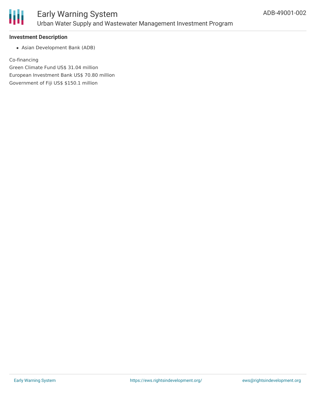

#### **Investment Description**

Asian Development Bank (ADB)

Co-financing Green Climate Fund US\$ 31.04 million

European Investment Bank US\$ 70.80 million

Government of Fiji US\$ \$150.1 million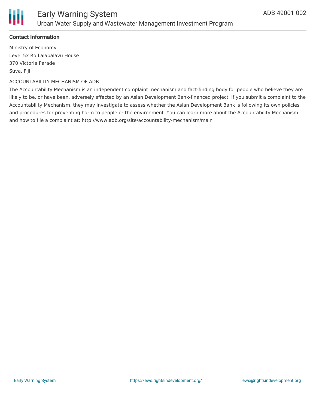

## **Contact Information**

Ministry of Economy Level 5x Ro Lalabalavu House 370 Victoria Parade Suva, Fiji

#### ACCOUNTABILITY MECHANISM OF ADB

The Accountability Mechanism is an independent complaint mechanism and fact-finding body for people who believe they are likely to be, or have been, adversely affected by an Asian Development Bank-financed project. If you submit a complaint to the Accountability Mechanism, they may investigate to assess whether the Asian Development Bank is following its own policies and procedures for preventing harm to people or the environment. You can learn more about the Accountability Mechanism and how to file a complaint at: http://www.adb.org/site/accountability-mechanism/main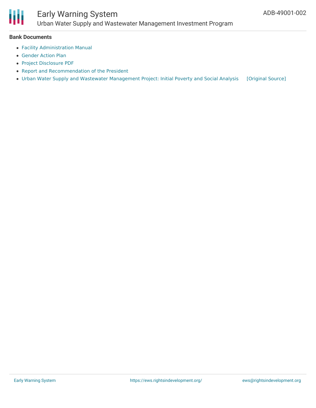

#### **Bank Documents**

- Facility [Administration](https://www.adb.org/sites/default/files/project-document/216546/49001-002-fam.pdf) Manual
- [Gender](https://www.adb.org/sites/default/files/project-document/216536/49001-002-gap.pdf) Action Plan
- Project [Disclosure](https://www.adb.org/printpdf/projects/49001-002/main) PDF
- Report and [Recommendation](https://www.adb.org/sites/default/files/project-document/216531/49001-002-rrp.pdf) of the President
- Urban Water Supply and Wastewater [Management](https://ewsdata.rightsindevelopment.org/files/documents/02/ADB-49001-002.pdf) Project: Initial Poverty and Social Analysis [\[Original](https://www.adb.org/projects/documents/fij-urban-water-supply-and-wastewater-management-project-ipsa) Source]